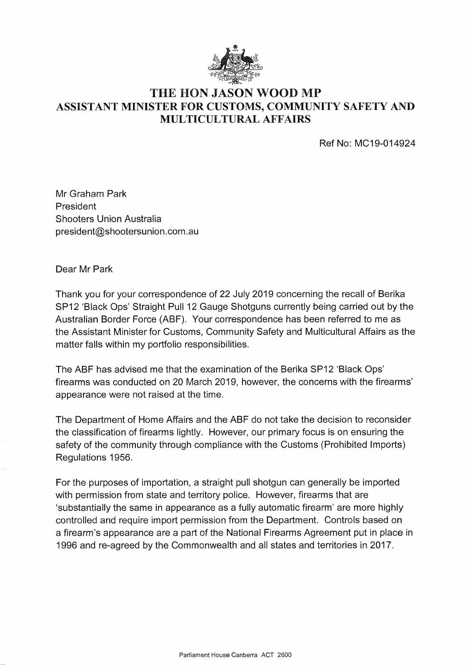

## **THE HON JASON WOOD MP** ASSISTANT MINISTER FOR CUSTOMS, COMMUNITY SAFETY AND MULTICULTURAL AFFAIRS

Ref No: MC19-014924

Mr Graham Park President Shooters Union Australia [president@shootersunion.com.au](mailto:president@shootersunion.com.au)

Dear Mr Park

Thank you for your correspondence of 22 July 2019 concerning the recall of Berika SP12 'Black Ops' Straight Pull 12 Gauge Shotguns currently being carried out by the Australian Border Force (ABF). Your correspondence has been referred to me as the Assistant Minister for Customs, Community Safety and Multicultural Affairs as the matter falls within my portfolio responsibilities.

The ABF has advised me that the examination of the Berika SP12 'Black Ops' firearms was conducted on 20 March 2019, however, the concerns with the firearms' appearance were not raised at the time.

The Department of Home Affairs and the ABF do not take the decision to reconsider the classification of firearms lightly. However, our primary focus is on ensuring the safety of the community through compliance with the Customs (Prohibited Imports) Regulations 1956.

For the purposes of importation, a straight pull shotgun can generally be imported with permission from state and territory police. However, firearms that are 'substantially the same in appearance as a fully automatic firearm' are more highly controlled and require import permission from the Department. Controls based on a firearm's appearance are a part of the National Firearms Agreement put in place in 1996 and re-agreed by the Commonwealth and all states and territories in 2017.